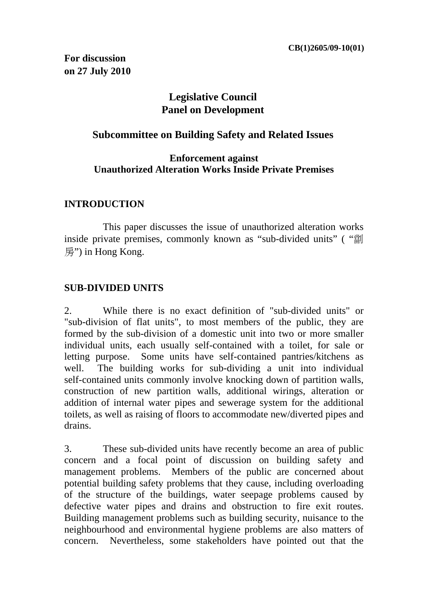**For discussion on 27 July 2010** 

# **Legislative Council Panel on Development**

### **Subcommittee on Building Safety and Related Issues**

#### **Enforcement against Unauthorized Alteration Works Inside Private Premises**

### **INTRODUCTION**

 This paper discusses the issue of unauthorized alteration works inside private premises, commonly known as "sub-divided units" ( "劏 房") in Hong Kong.

### **SUB-DIVIDED UNITS**

2. While there is no exact definition of "sub-divided units" or "sub-division of flat units", to most members of the public, they are formed by the sub-division of a domestic unit into two or more smaller individual units, each usually self-contained with a toilet, for sale or letting purpose. Some units have self-contained pantries/kitchens as well. The building works for sub-dividing a unit into individual self-contained units commonly involve knocking down of partition walls, construction of new partition walls, additional wirings, alteration or addition of internal water pipes and sewerage system for the additional toilets, as well as raising of floors to accommodate new/diverted pipes and drains.

3. These sub-divided units have recently become an area of public concern and a focal point of discussion on building safety and management problems. Members of the public are concerned about potential building safety problems that they cause, including overloading of the structure of the buildings, water seepage problems caused by defective water pipes and drains and obstruction to fire exit routes. Building management problems such as building security, nuisance to the neighbourhood and environmental hygiene problems are also matters of concern. Nevertheless, some stakeholders have pointed out that the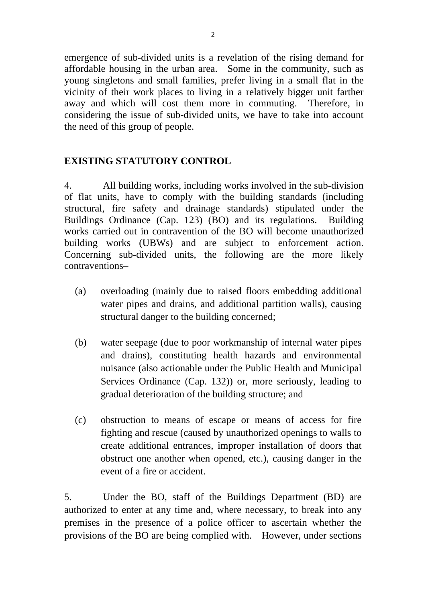emergence of sub-divided units is a revelation of the rising demand for affordable housing in the urban area. Some in the community, such as young singletons and small families, prefer living in a small flat in the vicinity of their work places to living in a relatively bigger unit farther away and which will cost them more in commuting. Therefore, in considering the issue of sub-divided units, we have to take into account the need of this group of people.

## **EXISTING STATUTORY CONTROL**

4. All building works, including works involved in the sub-division of flat units, have to comply with the building standards (including structural, fire safety and drainage standards) stipulated under the Buildings Ordinance (Cap. 123) (BO) and its regulations. Building works carried out in contravention of the BO will become unauthorized building works (UBWs) and are subject to enforcement action. Concerning sub-divided units, the following are the more likely contraventions–

- (a) overloading (mainly due to raised floors embedding additional water pipes and drains, and additional partition walls), causing structural danger to the building concerned;
- (b) water seepage (due to poor workmanship of internal water pipes and drains), constituting health hazards and environmental nuisance (also actionable under the Public Health and Municipal Services Ordinance (Cap. 132)) or, more seriously, leading to gradual deterioration of the building structure; and
- (c) obstruction to means of escape or means of access for fire fighting and rescue (caused by unauthorized openings to walls to create additional entrances, improper installation of doors that obstruct one another when opened, etc.), causing danger in the event of a fire or accident.

5. Under the BO, staff of the Buildings Department (BD) are authorized to enter at any time and, where necessary, to break into any premises in the presence of a police officer to ascertain whether the provisions of the BO are being complied with. However, under sections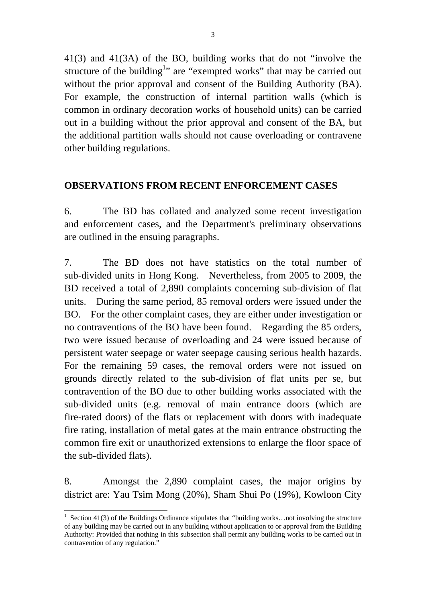41(3) and 41(3A) of the BO, building works that do not "involve the structure of the building<sup>1</sup>" are "exempted works" that may be carried out without the prior approval and consent of the Building Authority (BA). For example, the construction of internal partition walls (which is common in ordinary decoration works of household units) can be carried out in a building without the prior approval and consent of the BA, but the additional partition walls should not cause overloading or contravene other building regulations.

## **OBSERVATIONS FROM RECENT ENFORCEMENT CASES**

6. The BD has collated and analyzed some recent investigation and enforcement cases, and the Department's preliminary observations are outlined in the ensuing paragraphs.

7. The BD does not have statistics on the total number of sub-divided units in Hong Kong. Nevertheless, from 2005 to 2009, the BD received a total of 2,890 complaints concerning sub-division of flat units. During the same period, 85 removal orders were issued under the BO. For the other complaint cases, they are either under investigation or no contraventions of the BO have been found. Regarding the 85 orders, two were issued because of overloading and 24 were issued because of persistent water seepage or water seepage causing serious health hazards. For the remaining 59 cases, the removal orders were not issued on grounds directly related to the sub-division of flat units per se, but contravention of the BO due to other building works associated with the sub-divided units (e.g. removal of main entrance doors (which are fire-rated doors) of the flats or replacement with doors with inadequate fire rating, installation of metal gates at the main entrance obstructing the common fire exit or unauthorized extensions to enlarge the floor space of the sub-divided flats).

8. Amongst the 2,890 complaint cases, the major origins by district are: Yau Tsim Mong (20%), Sham Shui Po (19%), Kowloon City

l

<sup>&</sup>lt;sup>1</sup> Section 41(3) of the Buildings Ordinance stipulates that "building works...not involving the structure of any building may be carried out in any building without application to or approval from the Building Authority: Provided that nothing in this subsection shall permit any building works to be carried out in contravention of any regulation."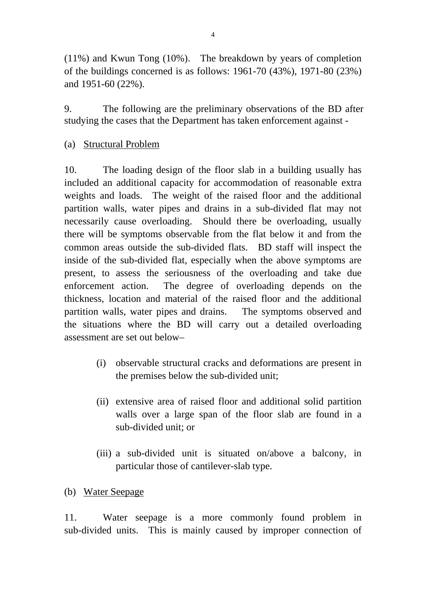(11%) and Kwun Tong (10%). The breakdown by years of completion of the buildings concerned is as follows: 1961-70 (43%), 1971-80 (23%) and 1951-60 (22%).

9. The following are the preliminary observations of the BD after studying the cases that the Department has taken enforcement against -

(a) Structural Problem

10. The loading design of the floor slab in a building usually has included an additional capacity for accommodation of reasonable extra weights and loads. The weight of the raised floor and the additional partition walls, water pipes and drains in a sub-divided flat may not necessarily cause overloading. Should there be overloading, usually there will be symptoms observable from the flat below it and from the common areas outside the sub-divided flats. BD staff will inspect the inside of the sub-divided flat, especially when the above symptoms are present, to assess the seriousness of the overloading and take due enforcement action. The degree of overloading depends on the thickness, location and material of the raised floor and the additional partition walls, water pipes and drains. The symptoms observed and the situations where the BD will carry out a detailed overloading assessment are set out below–

- (i) observable structural cracks and deformations are present in the premises below the sub-divided unit;
- (ii) extensive area of raised floor and additional solid partition walls over a large span of the floor slab are found in a sub-divided unit; or
- (iii) a sub-divided unit is situated on/above a balcony, in particular those of cantilever-slab type.
- (b) Water Seepage

11. Water seepage is a more commonly found problem in sub-divided units. This is mainly caused by improper connection of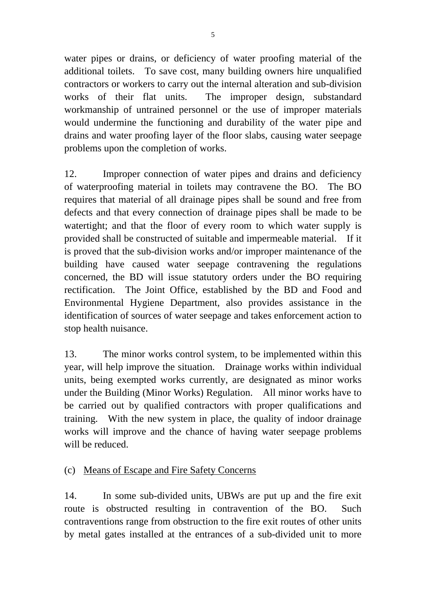water pipes or drains, or deficiency of water proofing material of the additional toilets. To save cost, many building owners hire unqualified contractors or workers to carry out the internal alteration and sub-division works of their flat units. The improper design, substandard

workmanship of untrained personnel or the use of improper materials would undermine the functioning and durability of the water pipe and drains and water proofing layer of the floor slabs, causing water seepage problems upon the completion of works.

12. Improper connection of water pipes and drains and deficiency of waterproofing material in toilets may contravene the BO. The BO requires that material of all drainage pipes shall be sound and free from defects and that every connection of drainage pipes shall be made to be watertight; and that the floor of every room to which water supply is provided shall be constructed of suitable and impermeable material. If it is proved that the sub-division works and/or improper maintenance of the building have caused water seepage contravening the regulations concerned, the BD will issue statutory orders under the BO requiring rectification. The Joint Office, established by the BD and Food and Environmental Hygiene Department, also provides assistance in the identification of sources of water seepage and takes enforcement action to stop health nuisance.

13. The minor works control system, to be implemented within this year, will help improve the situation. Drainage works within individual units, being exempted works currently, are designated as minor works under the Building (Minor Works) Regulation. All minor works have to be carried out by qualified contractors with proper qualifications and training. With the new system in place, the quality of indoor drainage works will improve and the chance of having water seepage problems will be reduced.

# (c) Means of Escape and Fire Safety Concerns

14. In some sub-divided units, UBWs are put up and the fire exit route is obstructed resulting in contravention of the BO. Such contraventions range from obstruction to the fire exit routes of other units by metal gates installed at the entrances of a sub-divided unit to more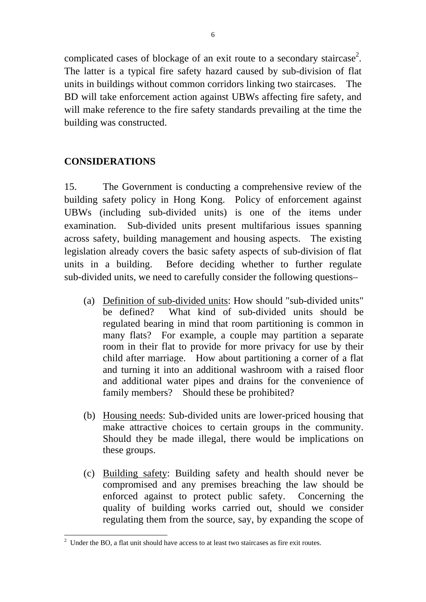complicated cases of blockage of an exit route to a secondary staircase<sup>2</sup>. The latter is a typical fire safety hazard caused by sub-division of flat units in buildings without common corridors linking two staircases. The BD will take enforcement action against UBWs affecting fire safety, and will make reference to the fire safety standards prevailing at the time the building was constructed.

## **CONSIDERATIONS**

15. The Government is conducting a comprehensive review of the building safety policy in Hong Kong. Policy of enforcement against UBWs (including sub-divided units) is one of the items under examination. Sub-divided units present multifarious issues spanning across safety, building management and housing aspects. The existing legislation already covers the basic safety aspects of sub-division of flat units in a building. Before deciding whether to further regulate sub-divided units, we need to carefully consider the following questions–

- (a) Definition of sub-divided units: How should "sub-divided units" be defined? What kind of sub-divided units should be regulated bearing in mind that room partitioning is common in many flats? For example, a couple may partition a separate room in their flat to provide for more privacy for use by their child after marriage. How about partitioning a corner of a flat and turning it into an additional washroom with a raised floor and additional water pipes and drains for the convenience of family members? Should these be prohibited?
- (b) Housing needs: Sub-divided units are lower-priced housing that make attractive choices to certain groups in the community. Should they be made illegal, there would be implications on these groups.
- (c) Building safety: Building safety and health should never be compromised and any premises breaching the law should be enforced against to protect public safety. Concerning the quality of building works carried out, should we consider regulating them from the source, say, by expanding the scope of

<sup>&</sup>lt;sup>2</sup> Under the BO, a flat unit should have access to at least two staircases as fire exit routes.